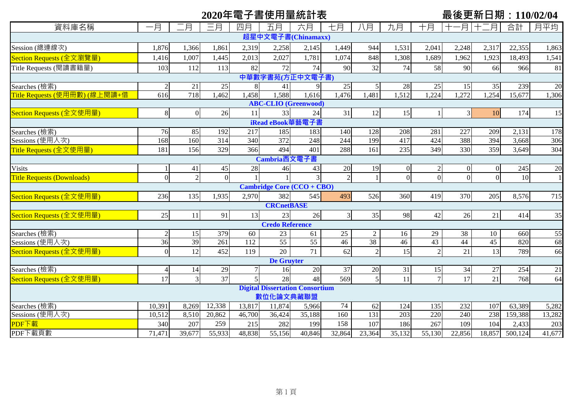# **2020年電子書使用量統計表 最後更新日期:110/02/04**

| 資料庫名稱                             | 一月                 | 月              | 三月       | 四月               | 五月                     | 六月                                     | 七月              | 八月               | 九月                | 十月            | 月        | 月<br>十二  | 合計      | 月平均    |
|-----------------------------------|--------------------|----------------|----------|------------------|------------------------|----------------------------------------|-----------------|------------------|-------------------|---------------|----------|----------|---------|--------|
|                                   | 超星中文電子書(Chinamaxx) |                |          |                  |                        |                                        |                 |                  |                   |               |          |          |         |        |
| Session (總連線次)                    | 1,876              | 1,366          | 1,861    | 2,319            | 2,258                  | 2,145                                  | 1,449           | 944              | 1,531             | 2,041         | 2,248    | 2,317    | 22,355  | 1,863  |
| Section Requests (全文瀏覽量)          | 1,416              | 1,007          | 1,445    | 2,013            | 2,027                  | 1,781                                  | 1,074           | 848              | 1,308             | 1,689         | 1,962    | 1,923    | 18,493  | 1,541  |
| Title Requests (閱讀書籍量)            | 103                | 112            | 113      | 82               | 72                     | 74                                     | 90              | 32               | 74                | 58            | 90       | 66       | 966     | 81     |
| 中華數字書苑(方正中文電子書)                   |                    |                |          |                  |                        |                                        |                 |                  |                   |               |          |          |         |        |
| Searches (檢索)                     |                    | 21             | 25       | 8                | 41                     | 9                                      | $25\,$          |                  | $28\,$            | 25            | 15       | 35       | 239     | 20     |
| Title Requests (使用冊數) (線上閱讀+借     | 616                | 718            | 1,462    | 1,458            | .588                   | 1,616                                  | 1,476           | 1,481            | $\overline{.512}$ | , 224         | 1,272    | 1,254    | 15,677  | 1,306  |
| <b>ABC-CLIO</b> (Greenwood)       |                    |                |          |                  |                        |                                        |                 |                  |                   |               |          |          |         |        |
| Section Requests (全文使用量)          | 8                  | $\overline{0}$ | 26       | 11               | 33                     | 24                                     | 31              | 12               | 15                |               | 3        | 10       | 174     | 15     |
| iRead eBook華藝電子書                  |                    |                |          |                  |                        |                                        |                 |                  |                   |               |          |          |         |        |
| Searches (檢索)                     | 76                 | 85             | 192      | 217              | 185                    | 183                                    | 140             | 128              | 208               | 281           | 227      | 209      | 2,131   | 178    |
| Sessions (使用人次)                   | 168                | 160            | 314      | 340              | 372                    | $\overline{248}$                       | 244             | 199              | 417               | 424           | 388      | 394      | 3,668   | 306    |
| Title Requests (全文使用量)            | 181                | 156            | 329      | 366              | 494                    | 401                                    | 288             | 161              | 235               | 349           | 330      | 359      | 3,649   | 304    |
| Cambria西文電子書                      |                    |                |          |                  |                        |                                        |                 |                  |                   |               |          |          |         |        |
| <b>Visits</b>                     |                    | 41             | 45       | 28               | 46                     | 43                                     | 20              | 19               | $\mathbf{0}$      |               | $\Omega$ | $\Omega$ | 245     | 20     |
| <b>Title Requests (Downloads)</b> | $\overline{0}$     | $\sqrt{2}$     | $\Omega$ |                  |                        |                                        | $\overline{2}$  |                  | $\overline{0}$    | $\Omega$      | $\Omega$ | $\Omega$ | 10      |        |
| <b>Cambridge Core (CCO + CBO)</b> |                    |                |          |                  |                        |                                        |                 |                  |                   |               |          |          |         |        |
| Section Requests (全文使用量)          | 236                | 135            | 1,935    | 2,970            | 382                    | 545                                    | 493             | 526              | 360               | 419           | 370      | 205      | 8,576   | 715    |
|                                   |                    |                |          |                  | <b>CRCnetBASE</b>      |                                        |                 |                  |                   |               |          |          |         |        |
| Section Requests (全文使用量)          | 25                 | 11             | 91       | 13               | 23                     | 26                                     | $\overline{3}$  | 35               | 98                | 42            | 26       | 21       | 414     | 35     |
|                                   |                    |                |          |                  | <b>Credo Reference</b> |                                        |                 |                  |                   |               |          |          |         |        |
| Searches (檢索)                     | $\overline{2}$     | 15             | 379      | 60               | 23                     | 61                                     | 25              | $\overline{2}$   | 16                | 29            | 38       | 10       | 660     | 55     |
| Sessions (使用人次)                   | $\overline{36}$    | 39             | 261      | $\overline{112}$ | 55                     | 55                                     | $\overline{46}$ | 38               | 46                | 43            | 44       | 45       | 820     | 68     |
| Section Requests (全文使用量)          | $\Omega$           | 12             | 452      | 119              | 20                     | 71                                     | 62              |                  | 15                | $\mathcal{I}$ | 21       | 13       | 789     | 66     |
|                                   |                    |                |          |                  | <b>De Gruyter</b>      |                                        |                 |                  |                   |               |          |          |         |        |
| Searches (檢索)                     | $\overline{4}$     | 14             | 29       | $7\overline{}$   | 16                     | 20                                     | $\overline{37}$ | 20               | 31                | 15            | 34       | 27       | 254     | 21     |
| Section Requests (全文使用量)          | 17                 | 3              | 37       |                  | 28                     | 48                                     | 569             |                  | 11                |               | 17       | 21       | 768     | 64     |
|                                   |                    |                |          |                  |                        | <b>Digital Dissertation Consortium</b> |                 |                  |                   |               |          |          |         |        |
|                                   |                    |                |          |                  | 數位化論文典藏聯盟              |                                        |                 |                  |                   |               |          |          |         |        |
| Searches (檢索)                     | 10,391             | 8,269          | 12,338   | 13,817           | 11,874                 | 5,966                                  | 74              | 62               | 124               | 135           | 232      | 107      | 63,389  | 5,282  |
| Sessions (使用人次)                   | 10,512             | 8,510          | 20,862   | 46,700           | 36,424                 | 35,188                                 | 160             | $\overline{131}$ | 203               | 220           | 240      | 238      | 159,388 | 13,282 |
| PDF下載                             | 340                | 207            | 259      | 215              | 282                    | 199                                    | 158             | 107              | 186               | 267           | 109      | 104      | 2,433   | 203    |
| PDF下載頁數                           | 71,471             | 39,677         | 55,933   | 48,838           | 55,156                 | 40,846                                 | 32,864          | 23,364           | 35,132            | 55,130        | 22,856   | 18,857   | 500,124 | 41,677 |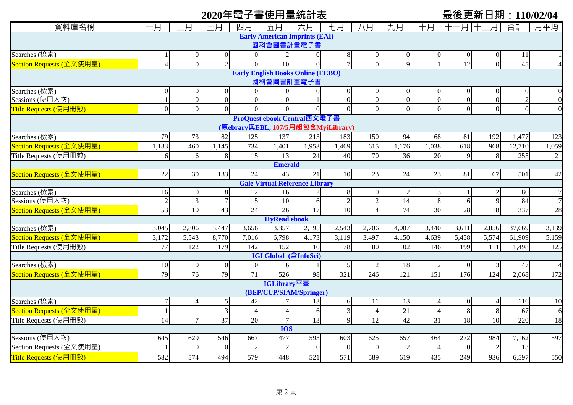# **2020年電子書使用量統計表 最後更新日期:110/02/04**

| 資料庫名稱                                    | 一月             | 月              | 三月               | 四月             | 五月                                    | 六月             | 七月                                 | 八月             | 九月              | 十月              | 十一月             | 十二月           | 合計             | 月平均             |
|------------------------------------------|----------------|----------------|------------------|----------------|---------------------------------------|----------------|------------------------------------|----------------|-----------------|-----------------|-----------------|---------------|----------------|-----------------|
| <b>Early American Imprints (EAI)</b>     |                |                |                  |                |                                       |                |                                    |                |                 |                 |                 |               |                |                 |
| 國科會圖書計畫電子書                               |                |                |                  |                |                                       |                |                                    |                |                 |                 |                 |               |                |                 |
| Searches (檢索)                            |                | $\theta$       | $\theta$         | $\overline{0}$ | $\overline{2}$                        | $\overline{0}$ | $\,8\,$                            | $\overline{0}$ | $\Omega$        | $\overline{0}$  |                 |               | 11             |                 |
| Section Requests (全文使用量)                 | $\overline{A}$ | $\overline{0}$ | $\overline{2}$   | $\Omega$       | 10                                    | $\theta$       | $\overline{7}$                     | $\overline{0}$ | $\mathbf Q$     |                 | 12              | $\Omega$      | 45             |                 |
| <b>Early English Books Online (EEBO)</b> |                |                |                  |                |                                       |                |                                    |                |                 |                 |                 |               |                |                 |
| 國科會圖書計畫電子書                               |                |                |                  |                |                                       |                |                                    |                |                 |                 |                 |               |                |                 |
| Searches (檢索)                            | $\theta$       | $\theta$       | $\boldsymbol{0}$ | $\overline{0}$ | $\overline{0}$                        | $\mathbf{0}$   | $\mathbf{0}$                       | 0              | $\Omega$        | $\overline{0}$  |                 |               |                | $\Omega$        |
| Sessions (使用人次)                          |                | $\overline{0}$ | $\overline{0}$   | $\overline{0}$ | $\overline{0}$                        |                | $\overline{0}$                     | $\overline{0}$ | $\theta$        | $\overline{0}$  | $\Omega$        | $\Omega$      | $\overline{2}$ | $\Omega$        |
| Title Requests (使用冊數)                    | $\mathbf{0}$   | $\overline{0}$ | $\Omega$         | $\Omega$       | $\Omega$                              | $\overline{0}$ | $\overline{0}$                     | $\overline{0}$ | $\Omega$        | $\overline{0}$  | $\Omega$        | $\Omega$      | $\mathbf{0}$   | $\Omega$        |
| ProQuest ebook Central西文電子書              |                |                |                  |                |                                       |                |                                    |                |                 |                 |                 |               |                |                 |
|                                          |                |                |                  |                |                                       |                | (原ebrary與EBL, 107/5月起包含MyiLibrary) |                |                 |                 |                 |               |                |                 |
| Searches (檢索)                            | 79             | 73             | 82               | 125            | 137                                   | 213            | 183                                | 150            | 94              | 68              | 81              | 192           | 1,477          | 123             |
| Section Requests (全文使用量)                 | 1,133          | 460            | 1,145            | 734            | 1,401                                 | 1,953          | 1,469                              | 615            | 1,176           | 1,038           | 618             | 968           | 12,710         | 1,059           |
| Title Requests (使用冊數)                    | 6              | 6              | 8                | 15             | 13                                    | 24             | 40                                 | 70             | 36              | 20              | $\mathbf Q$     | 8             | 255            | 21              |
| <b>Emerald</b>                           |                |                |                  |                |                                       |                |                                    |                |                 |                 |                 |               |                |                 |
| Section Requests (全文使用量)                 | 22             | 30             | 133              | 24             | 43                                    | 21             | 10                                 | 23             | 24              | 23              | 81              | 67            | 501            | 42              |
|                                          |                |                |                  |                | <b>Gale Virtual Reference Library</b> |                |                                    |                |                 |                 |                 |               |                |                 |
| Searches (檢索)                            | 16             | $\Omega$       | 18               | 12             | 16                                    |                | $8\phantom{1}$                     | $\overline{0}$ | $\overline{2}$  | $\overline{3}$  |                 |               | 80             | $\overline{7}$  |
| Sessions (使用人次)                          | $\sqrt{2}$     | $\mathfrak{Z}$ | $\overline{17}$  | 5              | 10                                    | $\epsilon$     | $\sqrt{2}$                         | $\overline{c}$ | 14              | 8               | 6               | 9             | 84             |                 |
| Section Requests (全文使用量)                 | 53             | 10             | 43               | 24             | 26                                    | 17             | 10                                 | 4              | 74              | 30              | 28              | 18            | 337            | 28              |
|                                          |                |                |                  |                | <b>HyRead ebook</b>                   |                |                                    |                |                 |                 |                 |               |                |                 |
| Searches (檢索)                            | 3,045          | 2,806          | 3,447            | 3,656          | 3,357                                 | 2,195          | 2,543                              | 2,706          | 4,007           | 3,440           | 3,611           | 2,856         | 37,669         | 3,139           |
| Section Requests (全文使用量)                 | 3,172          | 5,543          | 8,770            | 7,016          | 6,798                                 | 4,173          | 3,119                              | 3,497          | 4,150           | 4,639           | 5,458           | 5,574         | 61,909         | 5,159           |
| Title Requests (使用冊數)                    | 77             | 122            | 179              | 142            | 152                                   | 110            | 78                                 | 80             | 102             | 146             | 199             | 111           | 1,498          | 125             |
|                                          |                |                |                  |                | <b>IGI Global</b> (含InfoSci)          |                |                                    |                |                 |                 |                 |               |                |                 |
| Searches (檢索)                            | 10             | $\mathbf{0}$   | $\overline{0}$   | $\overline{0}$ | 6                                     |                | 5                                  | $\mathfrak{2}$ | 18              |                 |                 | 3             | 47             |                 |
| Section Requests (全文使用量)                 | 79             | 76             | 79               | 71             | 526                                   | 98             | 321                                | 246            | 121             | 151             | 176             | 124           | 2,068          | 172             |
|                                          |                |                |                  |                | IGLibrary平臺                           |                |                                    |                |                 |                 |                 |               |                |                 |
|                                          |                |                |                  |                | (BEP/CUP/SIAM/Springer)               |                |                                    |                |                 |                 |                 |               |                |                 |
| Searches (檢索)                            | 7              |                | 5                | 42             |                                       | 13             | 6                                  | 11             | 13              |                 |                 |               | 116            | 10              |
| Section Requests (全文使用量)                 |                |                | 3                | $\Delta$       | $\overline{4}$                        | 6              | 3                                  | $\overline{4}$ | 21              |                 |                 |               | 67             | 6               |
| Title Requests (使用冊數)                    | 14             | $\tau$         | 37               | 20             | $7\overline{ }$                       | 13             | 9                                  | 12             | $\overline{42}$ | $\overline{31}$ | $\overline{18}$ | 10            | 220            | $\overline{18}$ |
|                                          |                |                |                  |                | <b>IOS</b>                            |                |                                    |                |                 |                 |                 |               |                |                 |
| Sessions (使用人次)                          | 645            | 629            | 546              | 667            | 477                                   | 593            | 603                                | 625            | 657             | 464             | 272             | 984           | 7,162          | 597             |
| Section Requests (全文使用量)                 |                | $\Omega$       | $\bigcap$        | $\mathcal{D}$  | $\overline{2}$                        | $\overline{0}$ | $\Omega$                           | $\overline{0}$ | $\overline{2}$  |                 |                 | $\mathcal{L}$ | 13             |                 |
| Title Requests (使用冊數)                    | 582            | 574            | 494              | 579            | 448                                   | 521            | 571                                | 589            | 619             | 435             | 249             | 936           | 6,597          | 550             |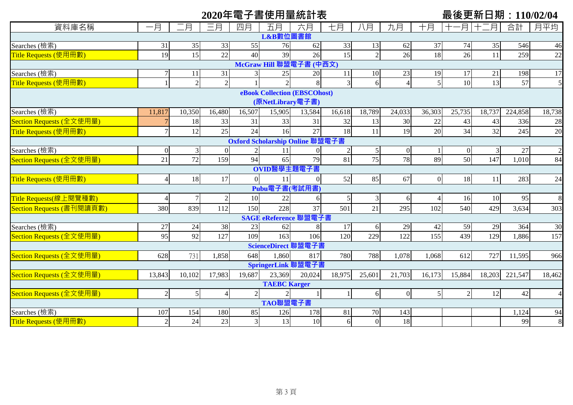|                           |                |                |                |                |                     | 2020年電子書使用量統計表                  |              |                |                |                 |                |        | 最後更新日期:110/02/04 |                |
|---------------------------|----------------|----------------|----------------|----------------|---------------------|---------------------------------|--------------|----------------|----------------|-----------------|----------------|--------|------------------|----------------|
| 資料庫名稱                     | 一月             | .月             | 三月             | 四月             | 五月                  | 六月                              | 七月           | 八月             | 九月             | 十月              | -月!            | 月      | 合計               | 月平均            |
|                           |                |                |                |                | L&B數位圖書館            |                                 |              |                |                |                 |                |        |                  |                |
| Searches (檢索)             | 31             | 35             | 33             | 55             | 76                  | 62                              | 33           | 13             | 62             | 37              | 74             | 35     | 546              | 46             |
| Title Requests (使用冊數)     | 19             | 15             | 22             | 40             | 39                  | 26                              | 15           | $\overline{2}$ | 26             | 18              | 26             | 11     | 259              | 22             |
|                           |                |                |                |                |                     | McGraw Hill 聯盟電子書 (中西文)         |              |                |                |                 |                |        |                  |                |
| Searches (檢索)             | $\overline{7}$ | 11             | 31             |                | 25                  | 20                              | 11           | 10             | 23             | 19              | 17             | 21     | 198              | 17             |
| Title Requests (使用冊數)     |                | $\sqrt{2}$     | $\overline{2}$ |                |                     |                                 | 3            | 6              |                | $\vert$         | 10             | 13     | 57               | $\overline{5}$ |
|                           |                |                |                |                |                     | eBook Collection (EBSCOhost)    |              |                |                |                 |                |        |                  |                |
|                           |                |                |                |                | (原NetLibrary電子書)    |                                 |              |                |                |                 |                |        |                  |                |
| Searches (檢索)             | 11,817         | 10,350         | 16,480         | 16,507         | 15,905              | 13,584                          | 16,618       | 18,789         | 24,033         | 36,303          | 25,735         | 18,737 | 224,858          | 18,738         |
| Section Requests (全文使用量)  |                | 18             | 33             | 31             | 33                  | 31                              | 32           | 13             | 30             | 22              | 43             | 43     | 336              | 28             |
| Title Requests (使用冊數)     | 7 <sup>1</sup> | 12             | 25             | 24             | 16                  | 27                              | 18           | 11             | 19             | 20              | 34             | 32     | 245              | 20             |
|                           |                |                |                |                |                     | Oxford Scholarship Online 聯盟電子書 |              |                |                |                 |                |        |                  |                |
| Searches (檢索)             | $\Omega$       | 3              | $\overline{0}$ | $\overline{2}$ | 11                  |                                 |              |                | $\overline{0}$ |                 | $\mathbf{0}$   | 3      | 27               | $\overline{2}$ |
| Section Requests (全文使用量)  | 21             | 72             | 159            | 94             | 65                  | 79                              | 81           | 75             | 78             | 89              | 50             | 147    | 1,010            | 84             |
|                           |                |                |                |                | OVID醫學主題電子書         |                                 |              |                |                |                 |                |        |                  |                |
| Title Requests (使用冊數)     | $\vert$        | 18             | 17             | $\overline{0}$ | 11                  |                                 | 52           | 85             | 67             | $\vert 0 \vert$ | 18             | 11     | 283              | 24             |
|                           |                |                |                |                | Pubu電子書(考試用書)       |                                 |              |                |                |                 |                |        |                  |                |
| Title Requests(線上閱覽種數)    | 4              | $\overline{7}$ | $\overline{2}$ | 10             | 22                  | 6                               |              | 3              | 6              | $\overline{4}$  | 16             | 10     | 95               | 8              |
| Section Requests (書刊閱讀頁數) | 380            | 839            | 112            | 150            | 228                 | 37                              | 501          | 21             | 295            | 102             | 540            | 429    | 3,634            | 303            |
|                           |                |                |                |                |                     | SAGE eReference 聯盟電子書           |              |                |                |                 |                |        |                  |                |
| Searches (檢索)             | 27             | 24             | 38             | 23             | 62                  | 8                               | 17           | 6              | 29             | 42              | 59             | 29     | 364              | 30             |
| Section Requests (全文使用量)  | 95             | 92             | 127            | 109            | 163                 | 106                             | 120          | 229            | 122            | 155             | 439            | 129    | 1,886            | 157            |
|                           |                |                |                |                | ScienceDirect 聯盟電子書 |                                 |              |                |                |                 |                |        |                  |                |
| Section Requests (全文使用量)  | 628            | 731            | 1,858          | 648            | 1,860               | 817                             | 780          | 788            | 1,078          | 1,068           | 612            | 727    | 11,595           | 966            |
|                           |                |                |                |                |                     | SpringerLink 聯盟電子書              |              |                |                |                 |                |        |                  |                |
| Section Requests (全文使用量)  | 13,843         | 10,102         | 17,983         | 19,687         | 23,369              | 20,024                          | 18,975       | 25,601         | 21,703         | 16,173          | 15,884         | 18,203 | 221,547          | 18,462         |
|                           |                |                |                |                | <b>TAEBC</b> Karger |                                 |              |                |                |                 |                |        |                  |                |
| Section Requests (全文使用量)  | $\overline{2}$ | $\sqrt{5}$     | $\overline{4}$ | $\overline{2}$ |                     |                                 |              | 6              | $\overline{0}$ | 5 <sub>l</sub>  | $\overline{2}$ | 12     | 42               | $\overline{4}$ |
|                           |                |                |                |                | TAO聯盟電子書            |                                 |              |                |                |                 |                |        |                  |                |
| Searches (檢索)             | 107            | 154            | 180            | 85             | 126                 | 178                             | 81           | 70             | 143            |                 |                |        | 1,124            | 94             |
| Title Requests (使用冊數)     | $\overline{2}$ | 24             | 23             | $\overline{3}$ | 13                  | 10                              | <sup>6</sup> | $\overline{0}$ | 18             |                 |                |        | 99               | 8              |